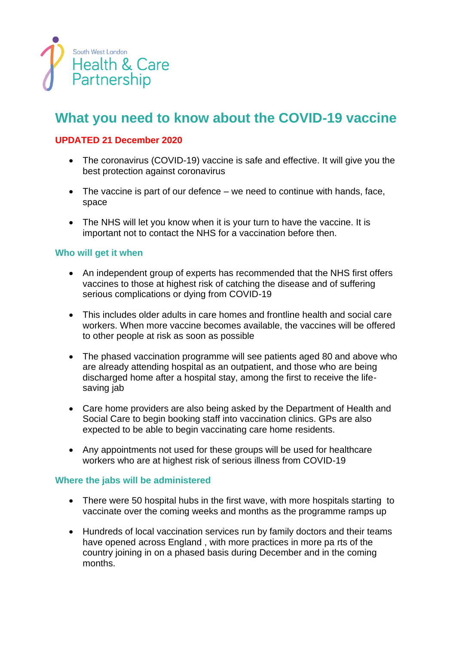

# **What you need to know about the COVID-19 vaccine**

# **UPDATED 21 December 2020**

- The coronavirus (COVID-19) vaccine is safe and effective. It will give you the best protection against coronavirus
- The vaccine is part of our defence we need to continue with hands, face, space
- The NHS will let you know when it is your turn to have the vaccine. It is important not to contact the NHS for a vaccination before then.

## **Who will get it when**

- An independent group of experts has recommended that the NHS first offers vaccines to those at highest risk of catching the disease and of suffering serious complications or dying from COVID-19
- This includes older adults in care homes and frontline health and social care workers. When more vaccine becomes available, the vaccines will be offered to other people at risk as soon as possible
- The phased vaccination programme will see patients aged 80 and above who are already attending hospital as an outpatient, and those who are being discharged home after a hospital stay, among the first to receive the lifesaving jab
- Care home providers are also being asked by the Department of Health and Social Care to begin booking staff into vaccination clinics. GPs are also expected to be able to begin vaccinating care home residents.
- Any appointments not used for these groups will be used for healthcare workers who are at highest risk of serious illness from COVID-19

#### **Where the jabs will be administered**

- There were 50 hospital hubs in the first wave, with more hospitals starting to vaccinate over the coming weeks and months as the programme ramps up
- Hundreds of local vaccination services run by family doctors and their teams have opened across England , with more practices in more pa rts of the country joining in on a phased basis during December and in the coming months.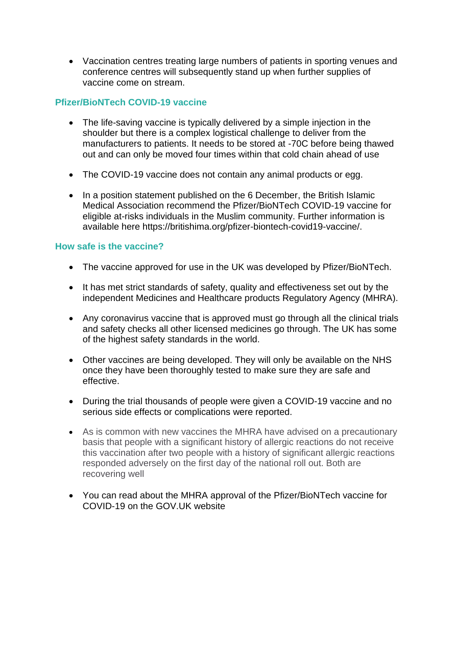• Vaccination centres treating large numbers of patients in sporting venues and conference centres will subsequently stand up when further supplies of vaccine come on stream.

## **Pfizer/BioNTech COVID-19 vaccine**

- The life-saving vaccine is typically delivered by a simple injection in the shoulder but there is a complex logistical challenge to deliver from the manufacturers to patients. It needs to be stored at -70C before being thawed out and can only be moved four times within that cold chain ahead of use
- The COVID-19 vaccine does not contain any animal products or egg.
- In a position statement published on the 6 December, the British Islamic Medical Association recommend the Pfizer/BioNTech COVID-19 vaccine for eligible at-risks individuals in the Muslim community. Further information is available here https://britishima.org/pfizer-biontech-covid19-vaccine/.

#### **How safe is the vaccine?**

- The vaccine approved for use in the UK was developed by Pfizer/BioNTech.
- It has met strict standards of safety, quality and effectiveness set out by the independent Medicines and Healthcare products Regulatory Agency (MHRA).
- Any coronavirus vaccine that is approved must go through all the clinical trials and safety checks all other licensed medicines go through. The UK has some of the highest safety standards in the world.
- Other vaccines are being developed. They will only be available on the NHS once they have been thoroughly tested to make sure they are safe and effective.
- During the trial thousands of people were given a COVID-19 vaccine and no serious side effects or complications were reported.
- As is common with new vaccines the MHRA have advised on a precautionary basis that people with a significant history of allergic reactions do not receive this vaccination after two people with a history of significant allergic reactions responded adversely on the first day of the national roll out. Both are recovering well
- You can read about the MHRA approval of the Pfizer/BioNTech vaccine for COVID-19 on the GOV.UK website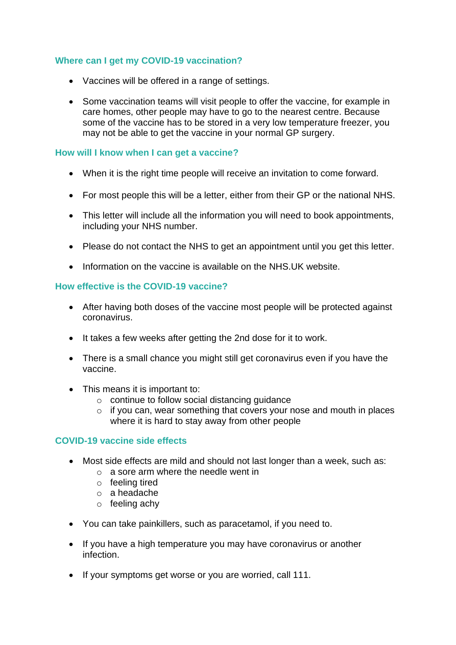# **Where can I get my COVID-19 vaccination?**

- Vaccines will be offered in a range of settings.
- Some vaccination teams will visit people to offer the vaccine, for example in care homes, other people may have to go to the nearest centre. Because some of the vaccine has to be stored in a very low temperature freezer, you may not be able to get the vaccine in your normal GP surgery.

### **How will I know when I can get a vaccine?**

- When it is the right time people will receive an invitation to come forward.
- For most people this will be a letter, either from their GP or the national NHS.
- This letter will include all the information you will need to book appointments, including your NHS number.
- Please do not contact the NHS to get an appointment until you get this letter.
- Information on the vaccine is available on the NHS.UK website.

#### **How effective is the COVID-19 vaccine?**

- After having both doses of the vaccine most people will be protected against coronavirus.
- It takes a few weeks after getting the 2nd dose for it to work.
- There is a small chance you might still get coronavirus even if you have the vaccine.
- This means it is important to:
	- o continue to follow social distancing guidance
	- $\circ$  if you can, wear something that covers your nose and mouth in places where it is hard to stay away from other people

#### **COVID-19 vaccine side effects**

- Most side effects are mild and should not last longer than a week, such as:
	- o a sore arm where the needle went in
	- o feeling tired
	- o a headache
	- o feeling achy
- You can take painkillers, such as paracetamol, if you need to.
- If you have a high temperature you may have coronavirus or another infection.
- If your symptoms get worse or you are worried, call 111.